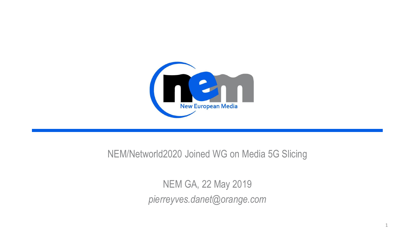

#### NEM/Networld2020 Joined WG on Media 5G Slicing

NEM GA, 22 May 2019 *pierreyves.danet@orange.com*

1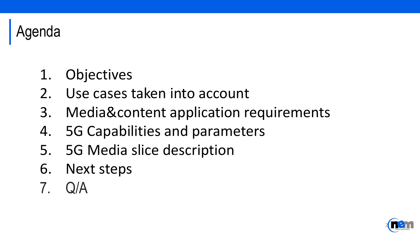

- 1. Objectives
- 2. Use cases taken into account
- 3. Media&content application requirements
- 4. 5G Capabilities and parameters
- 5. 5G Media slice description
- 6. Next steps
- 7. Q/A

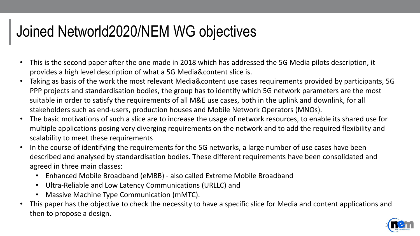### Joined Networld2020/NEM WG objectives

- This is the second paper after the one made in 2018 which has addressed the 5G Media pilots description, it provides a high level description of what a 5G Media&content slice is.
- Taking as basis of the work the most relevant Media&content use cases requirements provided by participants, 5G PPP projects and standardisation bodies, the group has to identify which 5G network parameters are the most suitable in order to satisfy the requirements of all M&E use cases, both in the uplink and downlink, for all stakeholders such as end-users, production houses and Mobile Network Operators (MNOs).
- The basic motivations of such a slice are to increase the usage of network resources, to enable its shared use for multiple applications posing very diverging requirements on the network and to add the required flexibility and scalability to meet these requirements
- In the course of identifying the requirements for the 5G networks, a large number of use cases have been described and analysed by standardisation bodies. These different requirements have been consolidated and agreed in three main classes:
	- Enhanced Mobile Broadband (eMBB) also called Extreme Mobile Broadband
	- Ultra-Reliable and Low Latency Communications (URLLC) and
	- Massive Machine Type Communication (mMTC).
- This paper has the objective to check the necessity to have a specific slice for Media and content applications and then to propose a design.

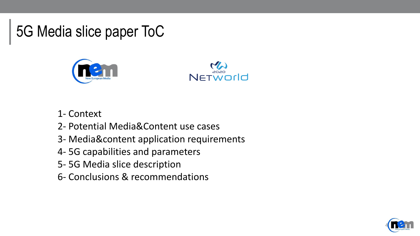5G Media slice paper ToC





- 1- Context
- 2- Potential Media&Content use cases
- 3- Media&content application requirements
- 4- 5G capabilities and parameters
- 5- 5G Media slice description
- 6- Conclusions & recommendations

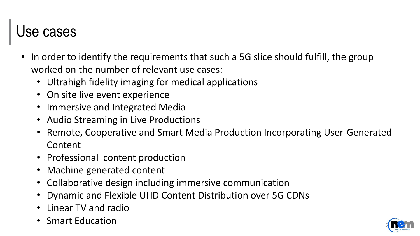#### Use cases

- In order to identify the requirements that such a 5G slice should fulfill, the group worked on the number of relevant use cases:
	- Ultrahigh fidelity imaging for medical applications
	- On site live event experience
	- Immersive and Integrated Media
	- Audio Streaming in Live Productions
	- Remote, Cooperative and Smart Media Production Incorporating User-Generated Content
	- Professional content production
	- Machine generated content
	- Collaborative design including immersive communication
	- Dynamic and Flexible UHD Content Distribution over 5G CDNs
	- Linear TV and radio
	- Smart Education

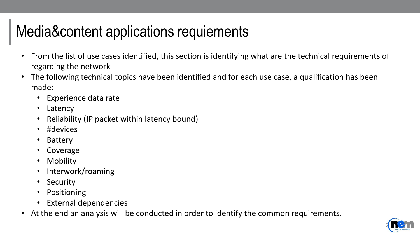## Media&content applications requiements

- From the list of use cases identified, this section is identifying what are the technical requirements of regarding the network
- The following technical topics have been identified and for each use case, a qualification has been made:
	- Experience data rate
	- Latency
	- Reliability (IP packet within latency bound)
	- #devices
	- Battery
	- **Coverage**
	- **Mobility**
	- Interwork/roaming
	- **Security**
	- **Positioning**
	- External dependencies
- At the end an analysis will be conducted in order to identify the common requirements.

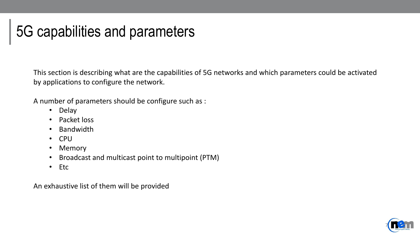## 5G capabilities and parameters

This section is describing what are the capabilities of 5G networks and which parameters could be activated by applications to configure the network.

A number of parameters should be configure such as :

- Delay
- Packet loss
- Bandwidth
- CPU
- Memory
- Broadcast and multicast point to multipoint (PTM)
- Etc

An exhaustive list of them will be provided

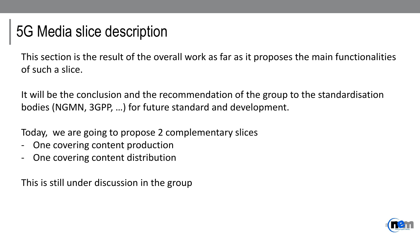### 5G Media slice description

This section is the result of the overall work as far as it proposes the main functionalities of such a slice.

It will be the conclusion and the recommendation of the group to the standardisation bodies (NGMN, 3GPP, …) for future standard and development.

Today, we are going to propose 2 complementary slices

- One covering content production
- One covering content distribution

This is still under discussion in the group

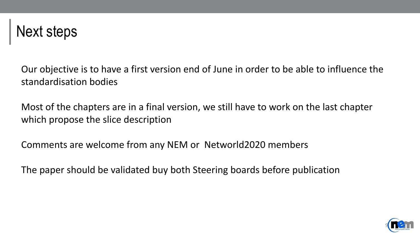

Our objective is to have a first version end of June in order to be able to influence the standardisation bodies

Most of the chapters are in a final version, we still have to work on the last chapter which propose the slice description

Comments are welcome from any NEM or Networld2020 members

The paper should be validated buy both Steering boards before publication